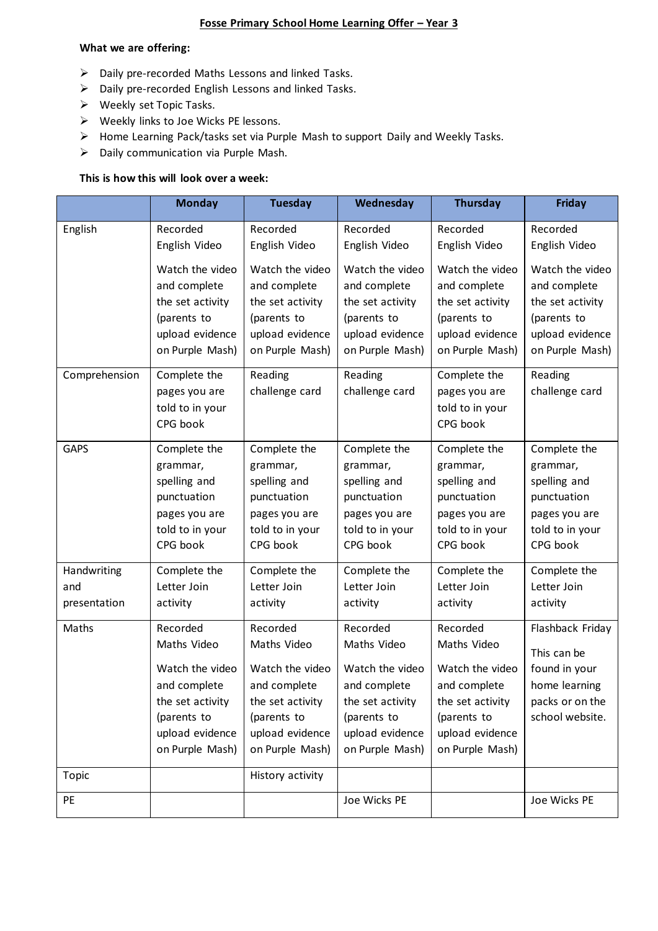# **Fosse Primary School Home Learning Offer – Year 3**

#### **What we are offering:**

- ➢ Daily pre-recorded Maths Lessons and linked Tasks.
- ➢ Daily pre-recorded English Lessons and linked Tasks.
- ➢ Weekly set Topic Tasks.
- ➢ Weekly links to Joe Wicks PE lessons.
- ➢ Home Learning Pack/tasks set via Purple Mash to support Daily and Weekly Tasks.
- ➢ Daily communication via Purple Mash.

## **This is how this will look over a week:**

|                                    | <b>Monday</b>                                                                                                                       | <b>Tuesday</b>                                                                                                                      | Wednesday                                                                                                                           | <b>Thursday</b>                                                                                                                     | <b>Friday</b>                                                                                            |
|------------------------------------|-------------------------------------------------------------------------------------------------------------------------------------|-------------------------------------------------------------------------------------------------------------------------------------|-------------------------------------------------------------------------------------------------------------------------------------|-------------------------------------------------------------------------------------------------------------------------------------|----------------------------------------------------------------------------------------------------------|
| English                            | Recorded<br>English Video                                                                                                           | Recorded<br>English Video                                                                                                           | Recorded<br>English Video                                                                                                           | Recorded<br>English Video                                                                                                           | Recorded<br>English Video                                                                                |
|                                    | Watch the video<br>and complete<br>the set activity<br>(parents to<br>upload evidence<br>on Purple Mash)                            | Watch the video<br>and complete<br>the set activity<br>(parents to<br>upload evidence<br>on Purple Mash)                            | Watch the video<br>and complete<br>the set activity<br>(parents to<br>upload evidence<br>on Purple Mash)                            | Watch the video<br>and complete<br>the set activity<br>(parents to<br>upload evidence<br>on Purple Mash)                            | Watch the video<br>and complete<br>the set activity<br>(parents to<br>upload evidence<br>on Purple Mash) |
| Comprehension                      | Complete the<br>pages you are<br>told to in your<br>CPG book                                                                        | Reading<br>challenge card                                                                                                           | Reading<br>challenge card                                                                                                           | Complete the<br>pages you are<br>told to in your<br>CPG book                                                                        | Reading<br>challenge card                                                                                |
| <b>GAPS</b>                        | Complete the<br>grammar,<br>spelling and<br>punctuation<br>pages you are<br>told to in your<br>CPG book                             | Complete the<br>grammar,<br>spelling and<br>punctuation<br>pages you are<br>told to in your<br>CPG book                             | Complete the<br>grammar,<br>spelling and<br>punctuation<br>pages you are<br>told to in your<br>CPG book                             | Complete the<br>grammar,<br>spelling and<br>punctuation<br>pages you are<br>told to in your<br>CPG book                             | Complete the<br>grammar,<br>spelling and<br>punctuation<br>pages you are<br>told to in your<br>CPG book  |
| Handwriting<br>and<br>presentation | Complete the<br>Letter Join<br>activity                                                                                             | Complete the<br>Letter Join<br>activity                                                                                             | Complete the<br>Letter Join<br>activity                                                                                             | Complete the<br>Letter Join<br>activity                                                                                             | Complete the<br>Letter Join<br>activity                                                                  |
| Maths                              | Recorded<br>Maths Video<br>Watch the video<br>and complete<br>the set activity<br>(parents to<br>upload evidence<br>on Purple Mash) | Recorded<br>Maths Video<br>Watch the video<br>and complete<br>the set activity<br>(parents to<br>upload evidence<br>on Purple Mash) | Recorded<br>Maths Video<br>Watch the video<br>and complete<br>the set activity<br>(parents to<br>upload evidence<br>on Purple Mash) | Recorded<br>Maths Video<br>Watch the video<br>and complete<br>the set activity<br>(parents to<br>upload evidence<br>on Purple Mash) | Flashback Friday<br>This can be<br>found in your<br>home learning<br>packs or on the<br>school website.  |
| <b>Topic</b>                       |                                                                                                                                     | History activity                                                                                                                    |                                                                                                                                     |                                                                                                                                     |                                                                                                          |
| PE                                 |                                                                                                                                     |                                                                                                                                     | Joe Wicks PE                                                                                                                        |                                                                                                                                     | Joe Wicks PE                                                                                             |